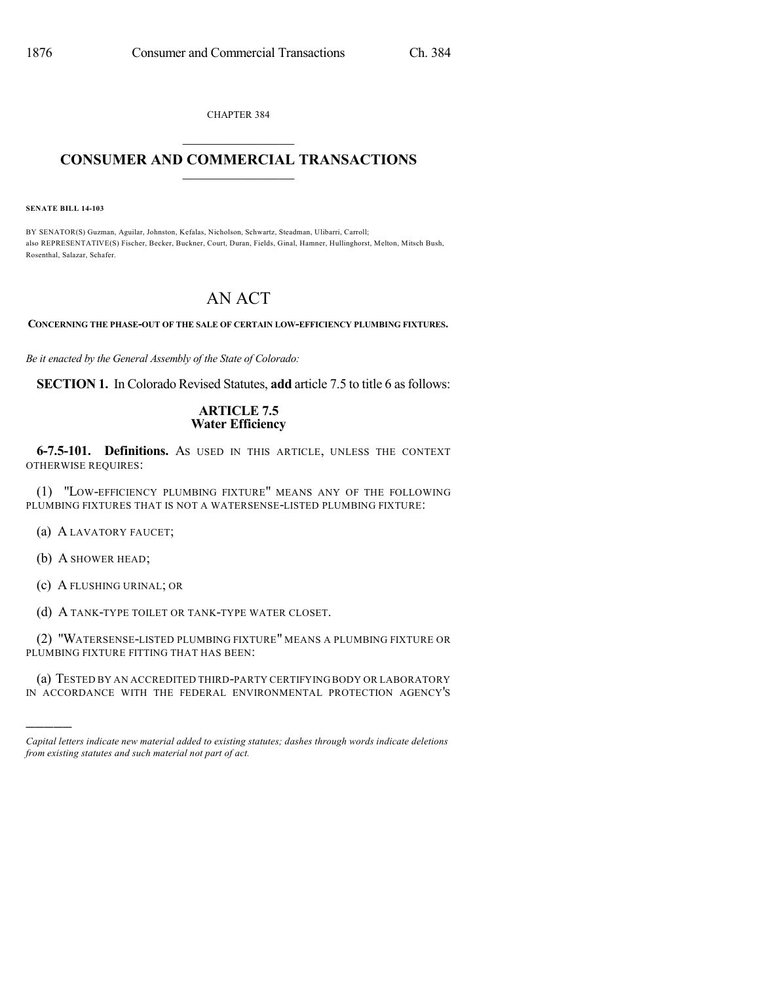CHAPTER 384

## $\mathcal{L}_\text{max}$  . The set of the set of the set of the set of the set of the set of the set of the set of the set of the set of the set of the set of the set of the set of the set of the set of the set of the set of the set **CONSUMER AND COMMERCIAL TRANSACTIONS**  $\_$   $\_$   $\_$   $\_$   $\_$   $\_$   $\_$   $\_$

**SENATE BILL 14-103**

BY SENATOR(S) Guzman, Aguilar, Johnston, Kefalas, Nicholson, Schwartz, Steadman, Ulibarri, Carroll; also REPRESENTATIVE(S) Fischer, Becker, Buckner, Court, Duran, Fields, Ginal, Hamner, Hullinghorst, Melton, Mitsch Bush, Rosenthal, Salazar, Schafer.

## AN ACT

**CONCERNING THE PHASE-OUT OF THE SALE OF CERTAIN LOW-EFFICIENCY PLUMBING FIXTURES.**

*Be it enacted by the General Assembly of the State of Colorado:*

**SECTION 1.** In Colorado Revised Statutes, **add** article 7.5 to title 6 as follows:

## **ARTICLE 7.5 Water Efficiency**

**6-7.5-101. Definitions.** AS USED IN THIS ARTICLE, UNLESS THE CONTEXT OTHERWISE REQUIRES:

(1) "LOW-EFFICIENCY PLUMBING FIXTURE" MEANS ANY OF THE FOLLOWING PLUMBING FIXTURES THAT IS NOT A WATERSENSE-LISTED PLUMBING FIXTURE:

(a) A LAVATORY FAUCET;

(b) A SHOWER HEAD;

)))))

(c) A FLUSHING URINAL; OR

(d) A TANK-TYPE TOILET OR TANK-TYPE WATER CLOSET.

(2) "WATERSENSE-LISTED PLUMBING FIXTURE" MEANS A PLUMBING FIXTURE OR PLUMBING FIXTURE FITTING THAT HAS BEEN:

(a) TESTED BY AN ACCREDITED THIRD-PARTY CERTIFYING BODY OR LABORATORY IN ACCORDANCE WITH THE FEDERAL ENVIRONMENTAL PROTECTION AGENCY'S

*Capital letters indicate new material added to existing statutes; dashes through words indicate deletions from existing statutes and such material not part of act.*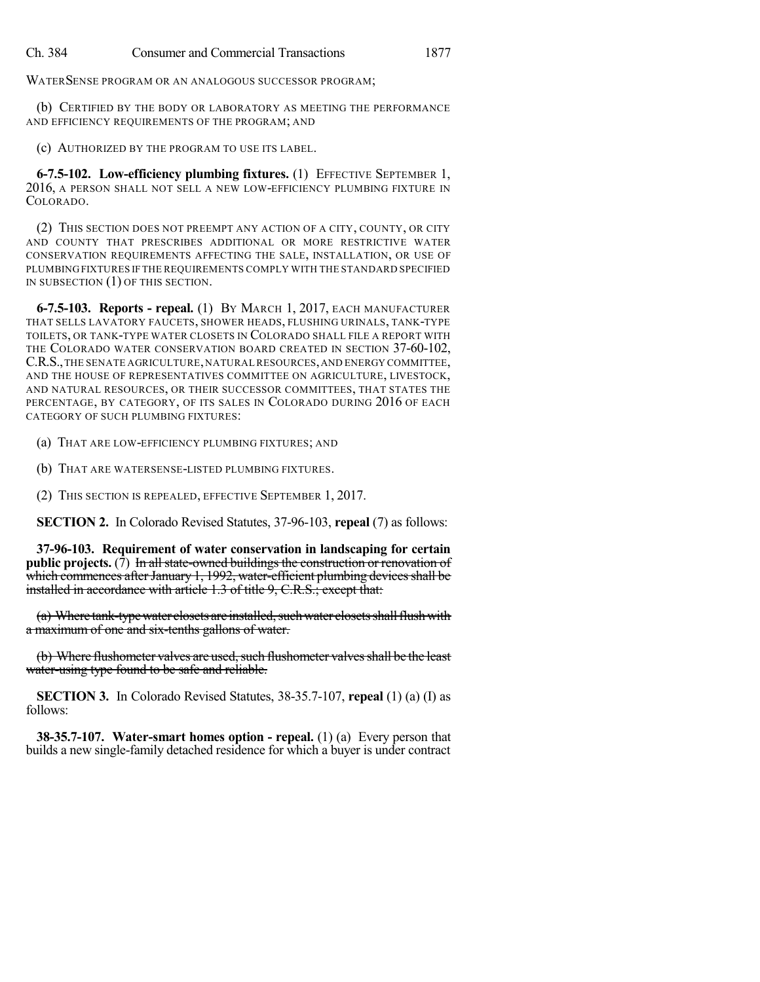WATERSENSE PROGRAM OR AN ANALOGOUS SUCCESSOR PROGRAM;

(b) CERTIFIED BY THE BODY OR LABORATORY AS MEETING THE PERFORMANCE AND EFFICIENCY REQUIREMENTS OF THE PROGRAM; AND

(c) AUTHORIZED BY THE PROGRAM TO USE ITS LABEL.

**6-7.5-102. Low-efficiency plumbing fixtures.** (1) EFFECTIVE SEPTEMBER 1, 2016, A PERSON SHALL NOT SELL A NEW LOW-EFFICIENCY PLUMBING FIXTURE IN COLORADO.

(2) THIS SECTION DOES NOT PREEMPT ANY ACTION OF A CITY, COUNTY, OR CITY AND COUNTY THAT PRESCRIBES ADDITIONAL OR MORE RESTRICTIVE WATER CONSERVATION REQUIREMENTS AFFECTING THE SALE, INSTALLATION, OR USE OF PLUMBING FIXTURES IF THE REQUIREMENTS COMPLY WITH THE STANDARD SPECIFIED IN SUBSECTION (1) OF THIS SECTION.

**6-7.5-103. Reports - repeal.** (1) BY MARCH 1, 2017, EACH MANUFACTURER THAT SELLS LAVATORY FAUCETS, SHOWER HEADS, FLUSHING URINALS, TANK-TYPE TOILETS, OR TANK-TYPE WATER CLOSETS IN COLORADO SHALL FILE A REPORT WITH THE COLORADO WATER CONSERVATION BOARD CREATED IN SECTION 37-60-102, C.R.S.,THE SENATE AGRICULTURE,NATURALRESOURCES,AND ENERGY COMMITTEE, AND THE HOUSE OF REPRESENTATIVES COMMITTEE ON AGRICULTURE, LIVESTOCK, AND NATURAL RESOURCES, OR THEIR SUCCESSOR COMMITTEES, THAT STATES THE PERCENTAGE, BY CATEGORY, OF ITS SALES IN COLORADO DURING 2016 OF EACH CATEGORY OF SUCH PLUMBING FIXTURES:

(a) THAT ARE LOW-EFFICIENCY PLUMBING FIXTURES; AND

(b) THAT ARE WATERSENSE-LISTED PLUMBING FIXTURES.

(2) THIS SECTION IS REPEALED, EFFECTIVE SEPTEMBER 1, 2017.

**SECTION 2.** In Colorado Revised Statutes, 37-96-103, **repeal** (7) as follows:

**37-96-103. Requirement of water conservation in landscaping for certain public** projects. (7) In all state-owned buildings the construction or renovation of which commences after January 1, 1992, water-efficient plumbing devices shall be installed in accordance with article 1.3 of title 9, C.R.S.; except that:

(a) Where tank-type water closets are installed, such water closets shall flush with a maximum of one and six-tenths gallons of water.

(b) Where flushometer valves are used, such flushometer valves shall be the least water-using type found to be safe and reliable.

**SECTION 3.** In Colorado Revised Statutes, 38-35.7-107, **repeal** (1) (a) (I) as follows:

**38-35.7-107. Water-smart homes option - repeal.** (1) (a) Every person that builds a new single-family detached residence for which a buyer is under contract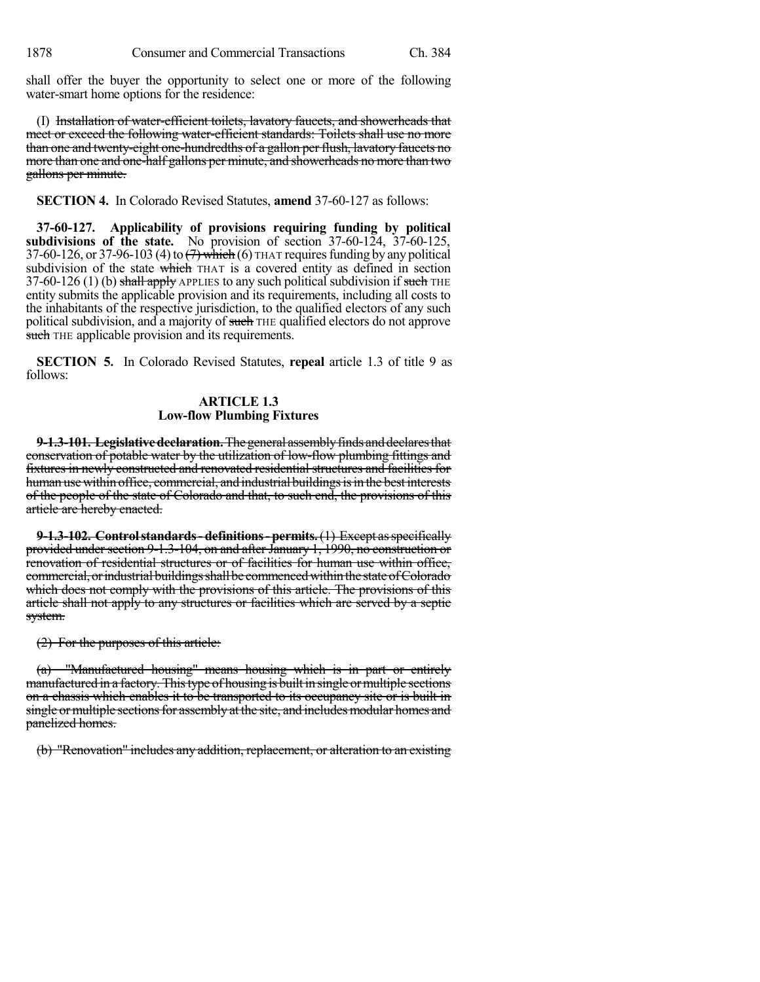shall offer the buyer the opportunity to select one or more of the following water-smart home options for the residence:

(I) Installation of water-efficient toilets, lavatory faucets, and showerheads that meet or exceed the following water-efficient standards: Toilets shall use no more than one and twenty-eight one-hundredths of a gallon per flush, lavatory faucets no more than one and one-half gallons per minute, and showerheads no more than two gallons per minute.

**SECTION 4.** In Colorado Revised Statutes, **amend** 37-60-127 as follows:

**37-60-127. Applicability of provisions requiring funding by political subdivisions of the state.** No provision of section 37-60-124, 37-60-125, 37-60-126, or 37-96-103 (4) to  $\left(7\right)$  which (6) THAT requires funding by any political subdivision of the state which THAT is a covered entity as defined in section 37-60-126 (1) (b) shall apply APPLIES to any such political subdivision if such THE entity submits the applicable provision and its requirements, including all costs to the inhabitants of the respective jurisdiction, to the qualified electors of any such political subdivision, and a majority of such THE qualified electors do not approve such THE applicable provision and its requirements.

**SECTION 5.** In Colorado Revised Statutes, **repeal** article 1.3 of title 9 as follows:

## **ARTICLE 1.3 Low-flow Plumbing Fixtures**

**9-1.3-101. Legislative declaration.** The general assembly finds and declares that conservation of potable water by the utilization of low-flow plumbing fittings and fixtures in newly constructed and renovated residential structures and facilities for human use within office, commercial, and industrial buildings is in the best interests of the people of the state of Colorado and that, to such end, the provisions of this article are hereby enacted.

**9-1.3-102. Controlstandards-definitions-permits.**(1) Except asspecifically provided under section 9-1.3-104, on and after January 1,  $1990$ , no construction or renovation of residential structures or of facilities for human use within office, commercial, or industrial buildings shall be commenced within the state of Colorado which does not comply with the provisions of this article. The provisions of this article shall not apply to any structures or facilities which are served by a septic system.

(2) For the purposes of this article:

(a) "Manufactured housing" means housing which is in part or entirely manufactured in a factory. This type of housing is built in single or multiple sections on a chassis which enables it to be transported to its occupancy site or is built in single or multiple sections for assembly at the site, and includes modular homes and panelized homes.

(b) "Renovation" includes any addition, replacement, or alteration to an existing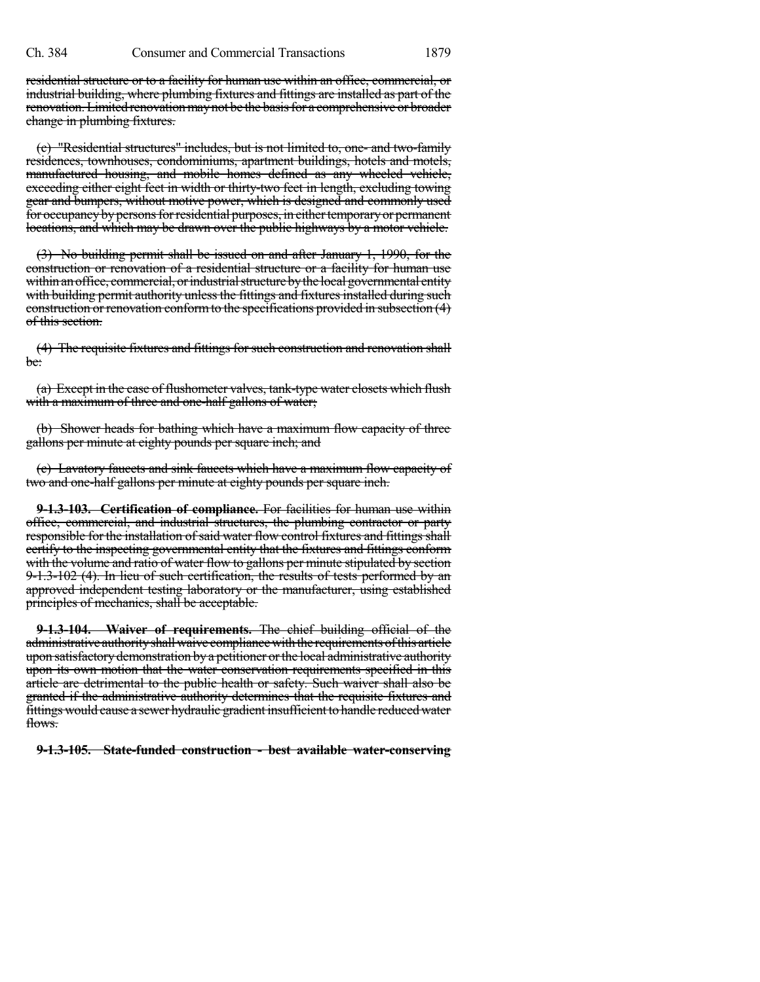residential structure or to a facility for human use within an office, commercial, or industrial building, where plumbing fixtures and fittings are installed as part of the renovation. Limited renovation may not be the basis for a comprehensive or broader change in plumbing fixtures.

(c) "Residential structures" includes, but is not limited to, one- and two-family residences, townhouses, condominiums, apartment buildings, hotels and motels, manufactured housing, and mobile homes defined as any wheeled vehicle, exceeding either eight feet in width or thirty-two feet in length, excluding towing gear and bumpers, without motive power, which is designed and commonly used for occupancy by persons for residential purposes, in either temporary or permanent locations, and which may be drawn over the public highways by a motor vehicle.

(3) No building permit shall be issued on and after January 1, 1990, for the construction or renovation of a residential structure or a facility for human use within an office, commercial, or industrial structure by the local governmental entity with building permit authority unless the fittings and fixtures installed during such construction or renovation conformto the specifications provided in subsection (4) of this section.

(4) The requisite fixtures and fittings for such construction and renovation shall be:

(a) Except in the case of flushometer valves, tank-type water closets which flush with a maximum of three and one-half gallons of water;

(b) Shower heads for bathing which have a maximum flow capacity of three gallons per minute at eighty pounds per square inch; and

(c) Lavatory faucets and sink faucets which have a maximum flow capacity of two and one-half gallons per minute at eighty pounds per square inch.

**9-1.3-103. Certification of compliance.** For facilities for human use within office, commercial, and industrial structures, the plumbing contractor or party responsible for the installation of said water flow control fixtures and fittings shall certify to the inspecting governmental entity that the fixtures and fittings conform with the volume and ratio of water flow to gallons per minute stipulated by section 9-1.3-102 (4). In lieu of such certification, the results of tests performed by an approved independent testing laboratory or the manufacturer, using established principles of mechanics, shall be acceptable.

**9-1.3-104. Waiver of requirements.** The chief building official of the administrative authority shall waive compliance with the requirements of this article upon satisfactory demonstration by a petitioner orthe local administrative authority upon its own motion that the water conservation requirements specified in this article are detrimental to the public health or safety. Such waiver shall also be granted if the administrative authority determines that the requisite fixtures and fittings would cause a sewer hydraulie gradient insufficient to handle reduced water flows.

**9-1.3-105. State-funded construction - best available water-conserving**